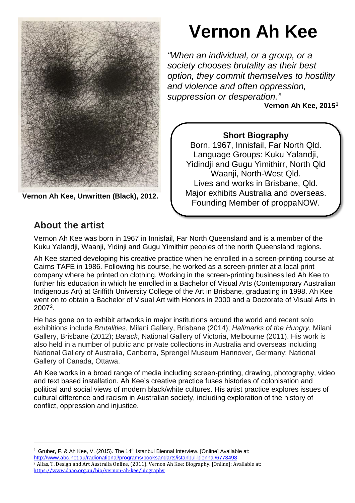

**Vernon Ah Kee, Unwritten (Black), 2012.**

# **Vernon Ah Kee**

*"When an individual, or a group, or a society chooses brutality as their best option, they commit themselves to hostility and violence and often oppression, suppression or desperation."*

**Vernon Ah Kee, 2015[1](#page-0-0)**

#### **Short Biography**

Born, 1967, Innisfail, Far North Qld. Language Groups: Kuku Yalandji, Yidindji and Gugu Yimithirr, North Qld Waanji, North-West Qld. Lives and works in Brisbane, Qld. Major exhibits Australia and overseas. Founding Member of proppaNOW.

# **About the artist**

Vernon Ah Kee was born in 1967 in Innisfail, Far North Queensland and is a member of the Kuku Yalandji, Waanji, Yidinji and Gugu Yimithirr peoples of the north Queensland regions.

Ah Kee started developing his creative practice when he enrolled in a screen-printing course at Cairns TAFE in 1986. Following his course, he worked as a screen-printer at a local print company where he printed on clothing. Working in the screen-printing business led Ah Kee to further his education in which he enrolled in a Bachelor of Visual Arts (Contemporary Australian Indigenous Art) at Griffith University College of the Art in Brisbane, graduating in 1998. Ah Kee went on to obtain a Bachelor of Visual Art with Honors in 2000 and a Doctorate of Visual Arts in 2007[2](#page-0-1).

He has gone on to exhibit artworks in major institutions around the world and recent solo exhibitions include *Brutalities*, Milani Gallery, Brisbane (2014); *Hallmarks of the Hungry*, Milani Gallery, Brisbane (2012); *Barack*, National Gallery of Victoria, Melbourne (2011). His work is also held in a number of public and private collections in Australia and overseas including National Gallery of Australia, Canberra, Sprengel Museum Hannover, Germany; National Gallery of Canada, Ottawa.

Ah Kee works in a broad range of media including screen-printing, drawing, photography, video and text based installation. Ah Kee's creative practice fuses histories of colonisation and political and social views of modern black/white cultures. His artist practice explores issues of cultural difference and racism in Australian society, including exploration of the history of conflict, oppression and injustice.

<span id="page-0-0"></span><sup>&</sup>lt;sup>1</sup> Gruber, F. & Ah Kee, V. (2015). The 14<sup>th</sup> Istanbul Biennal Interview. [Online] Available at: <http://www.abc.net.au/radionational/programs/booksandarts/istanbul-biennal/6773498>

<span id="page-0-1"></span><sup>2</sup> Allas, T. Design and Art Australia Online, (2011). Vernon Ah Kee: Biography. [Online]: Available at: <https://www.daao.org.au/bio/vernon-ah-kee/biography>